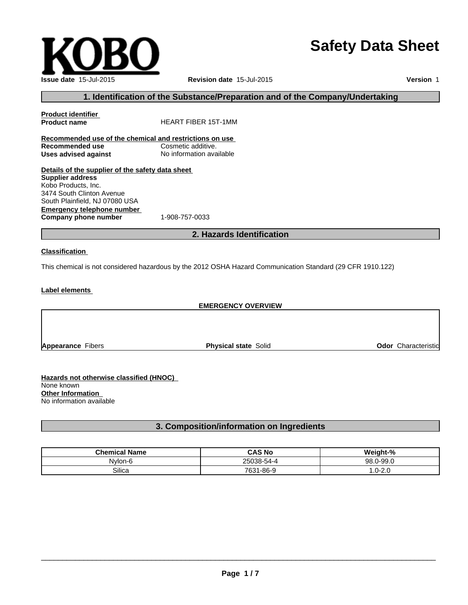# **Safety Data Sheet**

 $\overline{\phantom{a}}$  ,  $\overline{\phantom{a}}$  ,  $\overline{\phantom{a}}$  ,  $\overline{\phantom{a}}$  ,  $\overline{\phantom{a}}$  ,  $\overline{\phantom{a}}$  ,  $\overline{\phantom{a}}$  ,  $\overline{\phantom{a}}$  ,  $\overline{\phantom{a}}$  ,  $\overline{\phantom{a}}$  ,  $\overline{\phantom{a}}$  ,  $\overline{\phantom{a}}$  ,  $\overline{\phantom{a}}$  ,  $\overline{\phantom{a}}$  ,  $\overline{\phantom{a}}$  ,  $\overline{\phantom{a}}$ 

**Issue date** 15-Jul-2015 **Revision date** 15-Jul-2015

**Version** 1

# **1. Identification of the Substance/Preparation and of the Company/Undertaking**

**Product identifier HEART FIBER 15T-1MM Recommended use of the chemical and restrictions on use Recommended use Uses advised against** No information available **Details of the supplier of the safety data sheet Supplier address** Kobo Products, Inc. 3474 South Clinton Avenue

**Emergency telephone number**<br>**Company phone number** 1-908-757-0033 **Company phone number** South Plainfield, NJ 07080 USA

**2. Hazards Identification**

#### **Classification**

This chemical is not considered hazardous by the 2012 OSHA Hazard Communication Standard (29 CFR 1910.122)

#### **Label elements**

#### **EMERGENCY OVERVIEW**

**Appearance** Fibers **Physical state** Solid **Odor** Characteristic

**Hazards not otherwise classified (HNOC)**  None known **Other Information**  No information available

### **3. Composition/information on Ingredients**

| <b>Chemical Name</b> | <b>CAS No</b>                 | <b>. n/</b><br>$\blacksquare$       |
|----------------------|-------------------------------|-------------------------------------|
| Nvlon-Ł              | <b>OEOOO</b><br>.             | $\sim$ $\sim$<br>ΩΩ<br>1-uu<br>77.U |
| Silica               | 7631<br>⁄ i -86- <sup>o</sup> | ົາເ<br>ى._<br>. ب                   |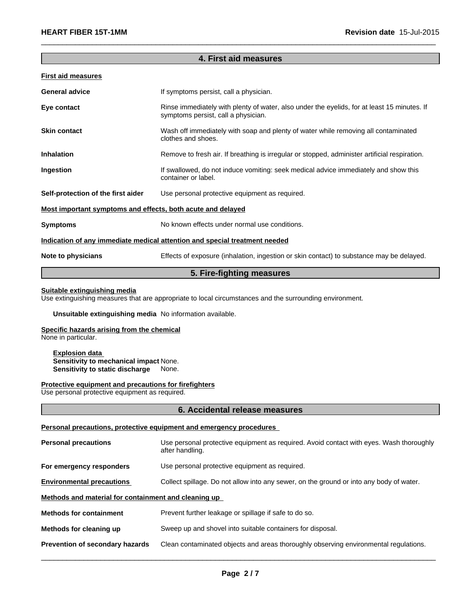## **4. First aid measures**

 $\overline{\phantom{a}}$  ,  $\overline{\phantom{a}}$  ,  $\overline{\phantom{a}}$  ,  $\overline{\phantom{a}}$  ,  $\overline{\phantom{a}}$  ,  $\overline{\phantom{a}}$  ,  $\overline{\phantom{a}}$  ,  $\overline{\phantom{a}}$  ,  $\overline{\phantom{a}}$  ,  $\overline{\phantom{a}}$  ,  $\overline{\phantom{a}}$  ,  $\overline{\phantom{a}}$  ,  $\overline{\phantom{a}}$  ,  $\overline{\phantom{a}}$  ,  $\overline{\phantom{a}}$  ,  $\overline{\phantom{a}}$ 

#### **First aid measures**

| <b>General advice</b>                                       | If symptoms persist, call a physician.                                                                                             |
|-------------------------------------------------------------|------------------------------------------------------------------------------------------------------------------------------------|
| Eye contact                                                 | Rinse immediately with plenty of water, also under the eyelids, for at least 15 minutes. If<br>symptoms persist, call a physician. |
| <b>Skin contact</b>                                         | Wash off immediately with soap and plenty of water while removing all contaminated<br>clothes and shoes.                           |
| <b>Inhalation</b>                                           | Remove to fresh air. If breathing is irregular or stopped, administer artificial respiration.                                      |
| Ingestion                                                   | If swallowed, do not induce vomiting: seek medical advice immediately and show this<br>container or label.                         |
| Self-protection of the first aider                          | Use personal protective equipment as required.                                                                                     |
| Most important symptoms and effects, both acute and delayed |                                                                                                                                    |
| <b>Symptoms</b>                                             | No known effects under normal use conditions.                                                                                      |
|                                                             | Indication of any immediate medical attention and special treatment needed                                                         |
| Note to physicians                                          | Effects of exposure (inhalation, ingestion or skin contact) to substance may be delayed.                                           |
|                                                             |                                                                                                                                    |

## **5. Fire-fighting measures**

#### **Suitable extinguishing media**

Use extinguishing measures that are appropriate to local circumstances and the surrounding environment.

#### **Unsuitable extinguishing media** No information available.

## **Specific hazards arising from the chemical**

None in particular.

#### **Explosion data Sensitivity to mechanical impact** None. **Sensitivity to static discharge** None.

#### **Protective equipment and precautions for firefighters**

Use personal protective equipment as required.

#### **6. Accidental release measures**

#### **Personal precautions, protective equipment and emergency procedures**

| <b>Personal precautions</b>                          | Use personal protective equipment as required. Avoid contact with eyes. Wash thoroughly<br>after handling. |
|------------------------------------------------------|------------------------------------------------------------------------------------------------------------|
| For emergency responders                             | Use personal protective equipment as required.                                                             |
| <b>Environmental precautions</b>                     | Collect spillage. Do not allow into any sewer, on the ground or into any body of water.                    |
| Methods and material for containment and cleaning up |                                                                                                            |
| <b>Methods for containment</b>                       | Prevent further leakage or spillage if safe to do so.                                                      |
| Methods for cleaning up                              | Sweep up and shovel into suitable containers for disposal.                                                 |
| Prevention of secondary hazards                      | Clean contaminated objects and areas thoroughly observing environmental regulations.                       |
|                                                      |                                                                                                            |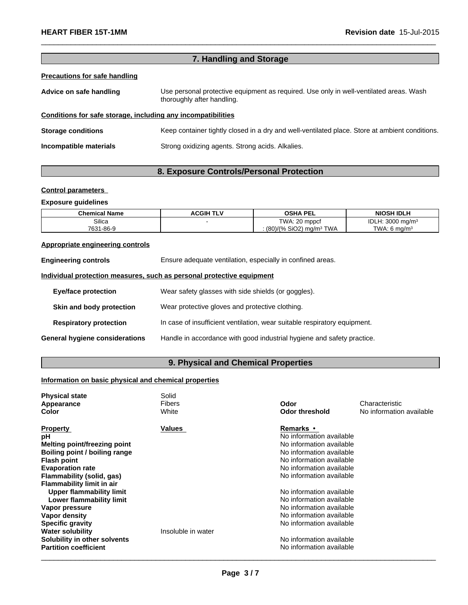|                                                              | 7. Handling and Storage                                                                                              |  |  |
|--------------------------------------------------------------|----------------------------------------------------------------------------------------------------------------------|--|--|
| <b>Precautions for safe handling</b>                         |                                                                                                                      |  |  |
| Advice on safe handling                                      | Use personal protective equipment as required. Use only in well-ventilated areas. Wash<br>thoroughly after handling. |  |  |
| Conditions for safe storage, including any incompatibilities |                                                                                                                      |  |  |
| <b>Storage conditions</b>                                    | Keep container tightly closed in a dry and well-ventilated place. Store at ambient conditions.                       |  |  |
| Incompatible materials                                       | Strong oxidizing agents. Strong acids. Alkalies.                                                                     |  |  |
|                                                              |                                                                                                                      |  |  |

 $\_$  ,  $\_$  ,  $\_$  ,  $\_$  ,  $\_$  ,  $\_$  ,  $\_$  ,  $\_$  ,  $\_$  ,  $\_$  ,  $\_$  ,  $\_$  ,  $\_$  ,  $\_$  ,  $\_$  ,  $\_$  ,  $\_$  ,  $\_$  ,  $\_$  ,  $\_$  ,  $\_$  ,  $\_$  ,  $\_$  ,  $\_$  ,  $\_$  ,  $\_$  ,  $\_$  ,  $\_$  ,  $\_$  ,  $\_$  ,  $\_$  ,  $\_$  ,  $\_$  ,  $\_$  ,  $\_$  ,  $\_$  ,  $\_$  ,

# **8. Exposure Controls/Personal Protection**

#### **Control parameters**

## **Exposure guidelines**

| <b>Chemical Name</b> | <b>ACGIH TLV</b> | <b>OSHA PEL</b>                                       | <b>NIOSH IDLH</b>          |
|----------------------|------------------|-------------------------------------------------------|----------------------------|
| Silica               |                  | TWA: 20 mppcf                                         | IDLI<br>: 3000 ma/m $^3$   |
| 7631-86-9            |                  | . (80)/(% SiO2) ma/m <sup>3</sup><br><sup>3</sup> TWA | $TWA: 6$ ma/m <sup>3</sup> |

# **Appropriate engineering controls**

| <b>Engineering controls</b>    | Ensure adequate ventilation, especially in confined areas.                |
|--------------------------------|---------------------------------------------------------------------------|
|                                | Individual protection measures, such as personal protective equipment     |
| <b>Eye/face protection</b>     | Wear safety glasses with side shields (or goggles).                       |
| Skin and body protection       | Wear protective gloves and protective clothing.                           |
| <b>Respiratory protection</b>  | In case of insufficient ventilation, wear suitable respiratory equipment. |
| General hygiene considerations | Handle in accordance with good industrial hygiene and safety practice.    |

# **9. Physical and Chemical Properties**

# **Information on basic physical and chemical properties**

| <b>Physical state</b>            | Solid              |                          |                          |
|----------------------------------|--------------------|--------------------------|--------------------------|
| Appearance                       | Fibers             | Odor                     | Characteristic           |
| <b>Color</b>                     | White              | <b>Odor threshold</b>    | No information available |
| <b>Property</b>                  | Values             | <b>Remarks</b> •         |                          |
| рH                               |                    | No information available |                          |
| Melting point/freezing point     |                    | No information available |                          |
| Boiling point / boiling range    |                    | No information available |                          |
| <b>Flash point</b>               |                    | No information available |                          |
| <b>Evaporation rate</b>          |                    | No information available |                          |
| Flammability (solid, gas)        |                    | No information available |                          |
| <b>Flammability limit in air</b> |                    |                          |                          |
| <b>Upper flammability limit</b>  |                    | No information available |                          |
| Lower flammability limit         |                    | No information available |                          |
| Vapor pressure                   |                    | No information available |                          |
| Vapor density                    |                    | No information available |                          |
| <b>Specific gravity</b>          |                    | No information available |                          |
| <b>Water solubility</b>          | Insoluble in water |                          |                          |
| Solubility in other solvents     |                    | No information available |                          |
| <b>Partition coefficient</b>     |                    | No information available |                          |
|                                  |                    |                          |                          |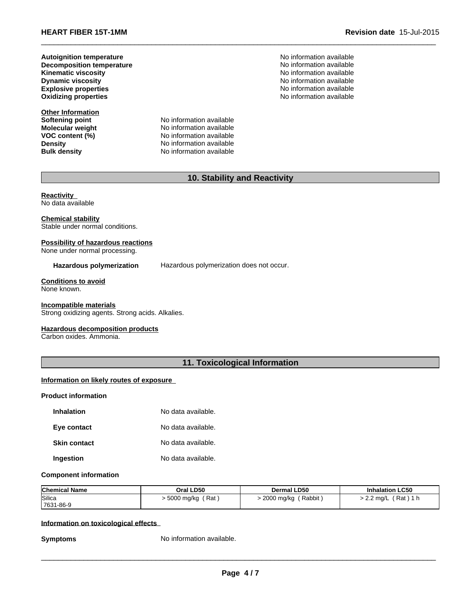**Dynamic viscosity Decomposition temperature Oxidizing properties Autoignition temperature**

**Other Information Softening point<br>Molecular weight** 

**Molecular weight** No information available<br> **VOC content (%)** No information available **VOC content (%)** No information available<br>
Density No information available **Density Density Density No information available Bulk density No information available No information available** 

No information available No information available **Explosive properties** No information available No information available No information available **No information available** 

 $\_$  ,  $\_$  ,  $\_$  ,  $\_$  ,  $\_$  ,  $\_$  ,  $\_$  ,  $\_$  ,  $\_$  ,  $\_$  ,  $\_$  ,  $\_$  ,  $\_$  ,  $\_$  ,  $\_$  ,  $\_$  ,  $\_$  ,  $\_$  ,  $\_$  ,  $\_$  ,  $\_$  ,  $\_$  ,  $\_$  ,  $\_$  ,  $\_$  ,  $\_$  ,  $\_$  ,  $\_$  ,  $\_$  ,  $\_$  ,  $\_$  ,  $\_$  ,  $\_$  ,  $\_$  ,  $\_$  ,  $\_$  ,  $\_$  ,

# **10. Stability and Reactivity**

**Reactivity**  No data available

#### **Chemical stability** Stable under normal conditions.

## **Possibility of hazardous reactions**

None under normal processing.

#### **Hazardous polymerization** Hazardous polymerization does not occur.

# **Conditions to avoid**

None known.

#### **Incompatible materials**

Strong oxidizing agents. Strong acids. Alkalies.

#### **Hazardous decomposition products**

Carbon oxides. Ammonia.

## **11. Toxicological Information**

#### **Information on likely routes of exposure**

#### **Product information**

| <b>Inhalation</b>   | No data available. |
|---------------------|--------------------|
| Eye contact         | No data available. |
| <b>Skin contact</b> | No data available. |
| Ingestion           | No data available. |

#### **Component information**

| <b>Chemical Name</b> | Oral LD50         | <b>Dermal LD50</b>   | <b>Inhalation LC50</b>     |
|----------------------|-------------------|----------------------|----------------------------|
| Silica               | Rat<br>5000 mg/kg | Rabbit<br>2000 mg/kg | Rat)<br>$2.2 \text{ mq/L}$ |
| 7631-86-9            |                   |                      |                            |

#### **Information on toxicological effects**

**Symptoms** No information available.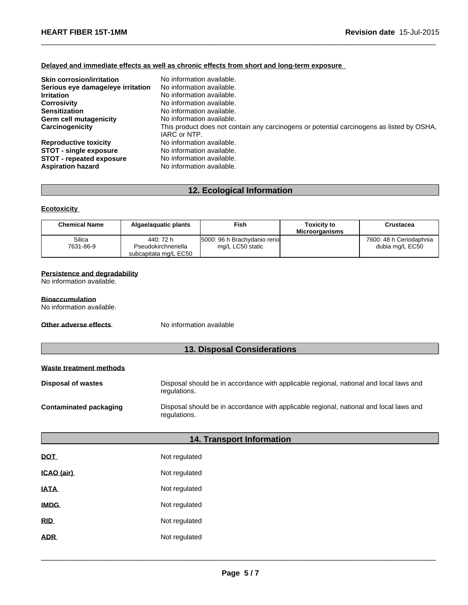#### **Delayed and immediate effects as well as chronic effects from short and long-term exposure**

| <b>Skin corrosion/irritation</b>  | No information available.                                                                 |
|-----------------------------------|-------------------------------------------------------------------------------------------|
| Serious eye damage/eye irritation | No information available.                                                                 |
| <b>Irritation</b>                 | No information available.                                                                 |
| <b>Corrosivity</b>                | No information available.                                                                 |
| <b>Sensitization</b>              | No information available.                                                                 |
| <b>Germ cell mutagenicity</b>     | No information available.                                                                 |
| Carcinogenicity                   | This product does not contain any carcinogens or potential carcinogens as listed by OSHA, |
|                                   | IARC or NTP.                                                                              |
| <b>Reproductive toxicity</b>      | No information available.                                                                 |
| <b>STOT - single exposure</b>     | No information available.                                                                 |
| <b>STOT - repeated exposure</b>   | No information available.                                                                 |
| <b>Aspiration hazard</b>          | No information available.                                                                 |

 $\_$  ,  $\_$  ,  $\_$  ,  $\_$  ,  $\_$  ,  $\_$  ,  $\_$  ,  $\_$  ,  $\_$  ,  $\_$  ,  $\_$  ,  $\_$  ,  $\_$  ,  $\_$  ,  $\_$  ,  $\_$  ,  $\_$  ,  $\_$  ,  $\_$  ,  $\_$  ,  $\_$  ,  $\_$  ,  $\_$  ,  $\_$  ,  $\_$  ,  $\_$  ,  $\_$  ,  $\_$  ,  $\_$  ,  $\_$  ,  $\_$  ,  $\_$  ,  $\_$  ,  $\_$  ,  $\_$  ,  $\_$  ,  $\_$  ,

# **12. Ecological Information**

#### **Ecotoxicity**

| <b>Chemical Name</b> | Algae/aguatic plants             | Fish                                              | Toxicitv to<br><b>Microorganisms</b> | Crustacea                                  |
|----------------------|----------------------------------|---------------------------------------------------|--------------------------------------|--------------------------------------------|
| Silica<br>7631-86-9  | 440: 72 h<br>Pseudokirchneriella | 5000: 96 h Brachydanio reriol<br>mg/L LC50 static |                                      | 7600: 48 h Ceriodaphnia<br>dubia mg/L EC50 |
|                      | subcapitata mg/L EC50            |                                                   |                                      |                                            |

#### **Persistence and degradability**

No information available.

#### **Bioaccumulation**

No information available.

**Other adverse effects** No information available

# **13. Disposal Considerations**

#### **Waste treatment methods**

| Disposal of wastes     | Disposal should be in accordance with applicable regional, national and local laws and<br>regulations. |
|------------------------|--------------------------------------------------------------------------------------------------------|
| Contaminated packaging | Disposal should be in accordance with applicable regional, national and local laws and<br>regulations. |

# **14. Transport Information**

| DOT         | Not regulated |
|-------------|---------------|
| ICAO (air)  | Not regulated |
| <b>IATA</b> | Not regulated |
| <b>IMDG</b> | Not regulated |
| <b>RID</b>  | Not regulated |
| <b>ADR</b>  | Not regulated |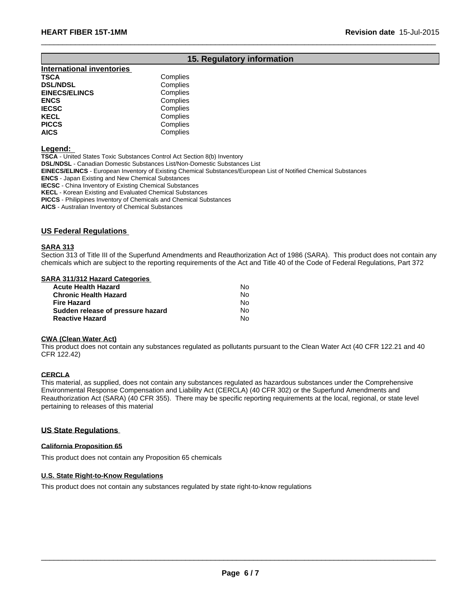# **15. Regulatory information**

 $\_$  ,  $\_$  ,  $\_$  ,  $\_$  ,  $\_$  ,  $\_$  ,  $\_$  ,  $\_$  ,  $\_$  ,  $\_$  ,  $\_$  ,  $\_$  ,  $\_$  ,  $\_$  ,  $\_$  ,  $\_$  ,  $\_$  ,  $\_$  ,  $\_$  ,  $\_$  ,  $\_$  ,  $\_$  ,  $\_$  ,  $\_$  ,  $\_$  ,  $\_$  ,  $\_$  ,  $\_$  ,  $\_$  ,  $\_$  ,  $\_$  ,  $\_$  ,  $\_$  ,  $\_$  ,  $\_$  ,  $\_$  ,  $\_$  ,

| <b>International inventories</b> |          |
|----------------------------------|----------|
| TSCA                             | Complies |
| <b>DSL/NDSL</b>                  | Complies |
| <b>EINECS/ELINCS</b>             | Complies |
| ENCS                             | Complies |
| <b>IECSC</b>                     | Complies |
| KECL                             | Complies |
| PICCS                            | Complies |
| AICS                             | Complies |
|                                  |          |

**Legend:** 

**TSCA** - United States Toxic Substances Control Act Section 8(b) Inventory

**DSL/NDSL** - Canadian Domestic Substances List/Non-Domestic Substances List

**EINECS/ELINCS** - European Inventory of Existing Chemical Substances/European List of Notified Chemical Substances

**ENCS** - Japan Existing and New Chemical Substances

**IECSC** - China Inventory of Existing Chemical Substances

**KECL** - Korean Existing and Evaluated Chemical Substances

**PICCS** - Philippines Inventory of Chemicals and Chemical Substances

**AICS** - Australian Inventory of Chemical Substances

#### **US Federal Regulations**

#### **SARA 313**

Section 313 of Title III of the Superfund Amendments and Reauthorization Act of 1986 (SARA). This product does not contain any chemicals which are subject to the reporting requirements of the Act and Title 40 of the Code of Federal Regulations, Part 372

#### **SARA 311/312 Hazard Categories**

| <b>Acute Health Hazard</b>        | N٥ |  |
|-----------------------------------|----|--|
| <b>Chronic Health Hazard</b>      | N٥ |  |
| Fire Hazard                       | N٥ |  |
| Sudden release of pressure hazard | N٥ |  |
| <b>Reactive Hazard</b>            | N٥ |  |

#### **CWA (Clean Water Act)**

This product does not contain any substances regulated as pollutants pursuant to the Clean Water Act (40 CFR 122.21 and 40 CFR 122.42)

#### **CERCLA**

This material, as supplied, does not contain any substances regulated as hazardous substances under the Comprehensive Environmental Response Compensation and Liability Act (CERCLA) (40 CFR 302) or the Superfund Amendments and Reauthorization Act (SARA) (40 CFR 355). There may be specific reporting requirements at the local, regional, or state level pertaining to releases of this material

#### **US State Regulations**

#### **California Proposition 65**

This product does not contain any Proposition 65 chemicals

#### **U.S. State Right-to-Know Regulations**

This product does not contain any substances regulated by state right-to-know regulations